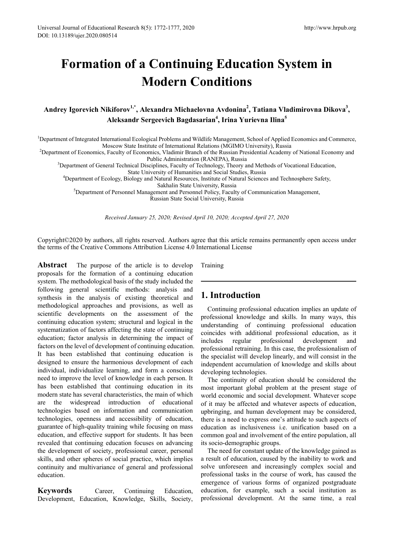# **Formation of a Continuing Education System in Modern Conditions**

# **Andrey Igorevich Nikiforov1,\*, Alexandra Michaelovna Avdonina2 , Tatiana Vladimirovna Dikova3 , Aleksandr Sergeevich Bagdasarian4 , Irina Yurievna Ilina<sup>5</sup>**

<sup>1</sup>Department of Integrated International Ecological Problems and Wildlife Management, School of Applied Economics and Commerce,

Moscow State Institute of International Relations (MGIMO University), Russia<br><sup>2</sup>Department of Economics, Faculty of Economics, Vladimir Branch of the Russian Presidential Academy of National Economy and

Public Administration (RANEPA), Russia<br><sup>3</sup>Department of General Technical Disciplines, Faculty of Technology, Theory and Methods of Vocational Education,

State University of Humanities and Social Studies, Russia <sup>4</sup> Department of Ecology, Biology and Natural Resources, Institute of Natural Sciences and Technosphere Safety,

Sakhalin State University, Russia<br><sup>5</sup>Department of Personnel Management and Personnel Policy, Faculty of Communication Management, Russian State Social University, Russia

*Received January 25, 2020; Revised April 10, 2020; Accepted April 27, 2020*

Copyright©2020 by authors, all rights reserved. Authors agree that this article remains permanently open access under the terms of the Creative Commons Attribution License 4.0 International License

**Abstract** The purpose of the article is to develop proposals for the formation of a continuing education system. The methodological basis of the study included the following general scientific methods: analysis and synthesis in the analysis of existing theoretical and methodological approaches and provisions, as well as scientific developments on the assessment of the continuing education system; structural and logical in the systematization of factors affecting the state of continuing education; factor analysis in determining the impact of factors on the level of development of continuing education. It has been established that continuing education is designed to ensure the harmonious development of each individual, individualize learning, and form a conscious need to improve the level of knowledge in each person. It has been established that continuing education in its modern state has several characteristics, the main of which are the widespread introduction of educational technologies based on information and communication technologies, openness and accessibility of education, guarantee of high-quality training while focusing on mass education, and effective support for students. It has been revealed that continuing education focuses on advancing the development of society, professional career, personal skills, and other spheres of social practice, which implies continuity and multivariance of general and professional education.

**Keywords** Career, Continuing Education, Development, Education, Knowledge, Skills, Society, Training

## **1. Introduction**

Continuing professional education implies an update of professional knowledge and skills. In many ways, this understanding of continuing professional education coincides with additional professional education, as it professional development and professional retraining. In this case, the professionalism of the specialist will develop linearly, and will consist in the independent accumulation of knowledge and skills about developing technologies.

The continuity of education should be considered the most important global problem at the present stage of world economic and social development. Whatever scope of it may be affected and whatever aspects of education, upbringing, and human development may be considered, there is a need to express one's attitude to such aspects of education as inclusiveness i.e. unification based on a common goal and involvement of the entire population, all its socio-demographic groups.

The need for constant update of the knowledge gained as a result of education, caused by the inability to work and solve unforeseen and increasingly complex social and professional tasks in the course of work, has caused the emergence of various forms of organized postgraduate education, for example, such a social institution as professional development. At the same time, a real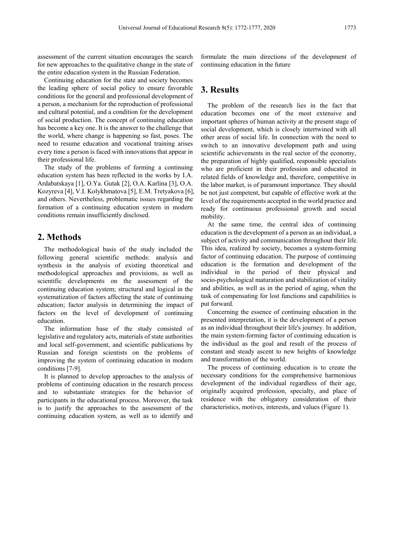assessment of the current situation encourages the search for new approaches to the qualitative change in the state of the entire education system in the Russian Federation.

Continuing education for the state and society becomes the leading sphere of social policy to ensure favorable conditions for the general and professional development of a person, a mechanism for the reproduction of professional and cultural potential, and a condition for the development of social production. The concept of continuing education has become a key one. It is the answer to the challenge that the world, where change is happening so fast, poses. The need to resume education and vocational training arises every time a person is faced with innovations that appear in their professional life.

The study of the problems of forming a continuing education system has been reflected in the works by I.A. Ardabatskaya [1], O.Ya. Gutak [2], O.A. Karlina [3], O.A. Kozyreva [4], V.I. Kolykhmatova [5], E.M. Tretyakova [6], and others. Nevertheless, problematic issues regarding the formation of a continuing education system in modern conditions remain insufficiently disclosed.

### **2. Methods**

The methodological basis of the study included the following general scientific methods: analysis and synthesis in the analysis of existing theoretical and methodological approaches and provisions, as well as scientific developments on the assessment of the continuing education system; structural and logical in the systematization of factors affecting the state of continuing education; factor analysis in determining the impact of factors on the level of development of continuing education.

The information base of the study consisted of legislative and regulatory acts, materials of state authorities and local self-government, and scientific publications by Russian and foreign scientists on the problems of improving the system of continuing education in modern conditions [7-9].

It is planned to develop approaches to the analysis of problems of continuing education in the research process and to substantiate strategies for the behavior of participants in the educational process. Moreover, the task is to justify the approaches to the assessment of the continuing education system, as well as to identify and

formulate the main directions of the development of continuing education in the future

#### **3. Results**

The problem of the research lies in the fact that education becomes one of the most extensive and important spheres of human activity at the present stage of social development, which is closely intertwined with all other areas of social life. In connection with the need to switch to an innovative development path and using scientific achievements in the real sector of the economy, the preparation of highly qualified, responsible specialists who are proficient in their profession and educated in related fields of knowledge and, therefore, competitive in the labor market, is of paramount importance. They should be not just competent, but capable of effective work at the level of the requirements accepted in the world practice and ready for continuous professional growth and social mobility.

At the same time, the central idea of continuing education is the development of a person as an individual, a subject of activity and communication throughout their life. This idea, realized by society, becomes a system-forming factor of continuing education. The purpose of continuing education is the formation and development of the individual in the period of their physical and socio-psychological maturation and stabilization of vitality and abilities, as well as in the period of aging, when the task of compensating for lost functions and capabilities is put forward.

Concerning the essence of continuing education in the presented interpretation, it is the development of a person as an individual throughout their life's journey. In addition, the main system-forming factor of continuing education is the individual as the goal and result of the process of constant and steady ascent to new heights of knowledge and transformation of the world.

The process of continuing education is to create the necessary conditions for the comprehensive harmonious development of the individual regardless of their age, originally acquired profession, specialty, and place of residence with the obligatory consideration of their characteristics, motives, interests, and values (Figure 1).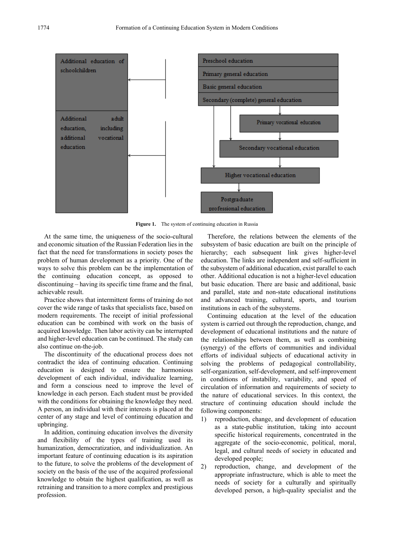

Figure 1. The system of continuing education in Russia

At the same time, the uniqueness of the socio-cultural and economic situation of the Russian Federation lies in the fact that the need for transformations in society poses the problem of human development as a priority. One of the ways to solve this problem can be the implementation of the continuing education concept, as opposed to discontinuing – having its specific time frame and the final, achievable result.

Practice shows that intermittent forms of training do not cover the wide range of tasks that specialists face, based on modern requirements. The receipt of initial professional education can be combined with work on the basis of acquired knowledge. Then labor activity can be interrupted and higher-level education can be continued. The study can also continue on-the-job.

The discontinuity of the educational process does not contradict the idea of continuing education. Continuing education is designed to ensure the harmonious development of each individual, individualize learning, and form a conscious need to improve the level of knowledge in each person. Each student must be provided with the conditions for obtaining the knowledge they need. A person, an individual with their interests is placed at the center of any stage and level of continuing education and upbringing.

In addition, continuing education involves the diversity and flexibility of the types of training used its humanization, democratization, and individualization. An important feature of continuing education is its aspiration to the future, to solve the problems of the development of society on the basis of the use of the acquired professional knowledge to obtain the highest qualification, as well as retraining and transition to a more complex and prestigious profession.

Therefore, the relations between the elements of the subsystem of basic education are built on the principle of hierarchy; each subsequent link gives higher-level education. The links are independent and self-sufficient in the subsystem of additional education, exist parallel to each other. Additional education is not a higher-level education but basic education. There are basic and additional, basic and parallel, state and non-state educational institutions and advanced training, cultural, sports, and tourism institutions in each of the subsystems.

Continuing education at the level of the education system is carried out through the reproduction, change, and development of educational institutions and the nature of the relationships between them, as well as combining (synergy) of the efforts of communities and individual efforts of individual subjects of educational activity in solving the problems of pedagogical controllability, self-organization, self-development, and self-improvement in conditions of instability, variability, and speed of circulation of information and requirements of society to the nature of educational services. In this context, the structure of continuing education should include the following components:

- 1) reproduction, change, and development of education as a state-public institution, taking into account specific historical requirements, concentrated in the aggregate of the socio-economic, political, moral, legal, and cultural needs of society in educated and developed people;
- 2) reproduction, change, and development of the appropriate infrastructure, which is able to meet the needs of society for a culturally and spiritually developed person, a high-quality specialist and the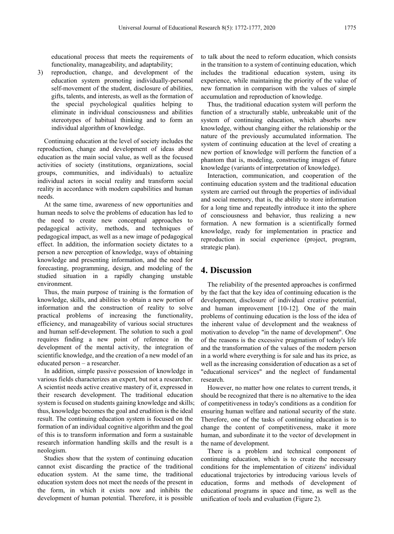educational process that meets the requirements of functionality, manageability, and adaptability;

3) reproduction, change, and development of the education system promoting individually-personal self-movement of the student, disclosure of abilities, gifts, talents, and interests, as well as the formation of the special psychological qualities helping to eliminate in individual consciousness and abilities stereotypes of habitual thinking and to form an individual algorithm of knowledge.

Continuing education at the level of society includes the reproduction, change and development of ideas about education as the main social value, as well as the focused activities of society (institutions, organizations, social groups, communities, and individuals) to actualize individual actors in social reality and transform social reality in accordance with modern capabilities and human needs.

At the same time, awareness of new opportunities and human needs to solve the problems of education has led to the need to create new conceptual approaches to pedagogical activity, methods, and techniques of pedagogical impact, as well as a new image of pedagogical effect. In addition, the information society dictates to a person a new perception of knowledge, ways of obtaining knowledge and presenting information, and the need for forecasting, programming, design, and modeling of the studied situation in a rapidly changing unstable environment.

Thus, the main purpose of training is the formation of knowledge, skills, and abilities to obtain a new portion of information and the construction of reality to solve practical problems of increasing the functionality, efficiency, and manageability of various social structures and human self-development. The solution to such a goal requires finding a new point of reference in the development of the mental activity, the integration of scientific knowledge, and the creation of a new model of an educated person – a researcher.

In addition, simple passive possession of knowledge in various fields characterizes an expert, but not a researcher. A scientist needs active creative mastery of it, expressed in their research development. The traditional education system is focused on students gaining knowledge and skills; thus, knowledge becomes the goal and erudition is the ideal result. The continuing education system is focused on the formation of an individual cognitive algorithm and the goal of this is to transform information and form a sustainable research information handling skills and the result is a neologism.

Studies show that the system of continuing education cannot exist discarding the practice of the traditional education system. At the same time, the traditional education system does not meet the needs of the present in the form, in which it exists now and inhibits the development of human potential. Therefore, it is possible to talk about the need to reform education, which consists in the transition to a system of continuing education, which includes the traditional education system, using its experience, while maintaining the priority of the value of new formation in comparison with the values of simple accumulation and reproduction of knowledge.

Thus, the traditional education system will perform the function of a structurally stable, unbreakable unit of the system of continuing education, which absorbs new knowledge, without changing either the relationship or the nature of the previously accumulated information. The system of continuing education at the level of creating a new portion of knowledge will perform the function of a phantom that is, modeling, constructing images of future knowledge (variants of interpretation of knowledge).

Interaction, communication, and cooperation of the continuing education system and the traditional education system are carried out through the properties of individual and social memory, that is, the ability to store information for a long time and repeatedly introduce it into the sphere of consciousness and behavior, thus realizing a new formation. A new formation is a scientifically formed knowledge, ready for implementation in practice and reproduction in social experience (project, program, strategic plan).

### **4. Discussion**

The reliability of the presented approaches is confirmed by the fact that the key idea of continuing education is the development, disclosure of individual creative potential, and human improvement [10-12]. One of the main problems of continuing education is the loss of the idea of the inherent value of development and the weakness of motivation to develop "in the name of development". One of the reasons is the excessive pragmatism of today's life and the transformation of the values of the modern person in a world where everything is for sale and has its price, as well as the increasing consideration of education as a set of "educational services" and the neglect of fundamental research.

However, no matter how one relates to current trends, it should be recognized that there is no alternative to the idea of competitiveness in today's conditions as a condition for ensuring human welfare and national security of the state. Therefore, one of the tasks of continuing education is to change the content of competitiveness, make it more human, and subordinate it to the vector of development in the name of development.

There is a problem and technical component of continuing education, which is to create the necessary conditions for the implementation of citizens' individual educational trajectories by introducing various levels of education, forms and methods of development of educational programs in space and time, as well as the unification of tools and evaluation (Figure 2).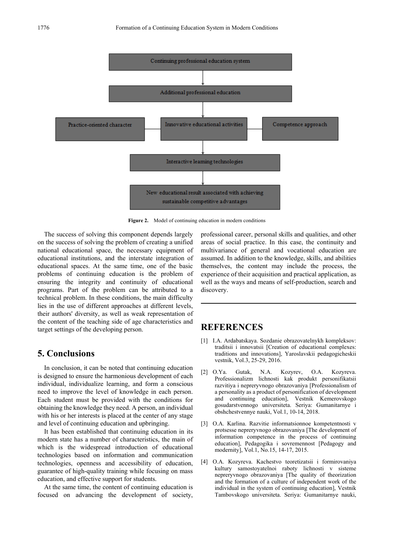

**Figure 2.** Model of continuing education in modern conditions

The success of solving this component depends largely on the success of solving the problem of creating a unified national educational space, the necessary equipment of educational institutions, and the interstate integration of educational spaces. At the same time, one of the basic problems of continuing education is the problem of ensuring the integrity and continuity of educational programs. Part of the problem can be attributed to a technical problem. In these conditions, the main difficulty lies in the use of different approaches at different levels, their authors' diversity, as well as weak representation of the content of the teaching side of age characteristics and target settings of the developing person.

### **5. Conclusions**

In conclusion, it can be noted that continuing education is designed to ensure the harmonious development of each individual, individualize learning, and form a conscious need to improve the level of knowledge in each person. Each student must be provided with the conditions for obtaining the knowledge they need. A person, an individual with his or her interests is placed at the center of any stage and level of continuing education and upbringing.

It has been established that continuing education in its modern state has a number of characteristics, the main of which is the widespread introduction of educational technologies based on information and communication technologies, openness and accessibility of education, guarantee of high-quality training while focusing on mass education, and effective support for students.

At the same time, the content of continuing education is focused on advancing the development of society, professional career, personal skills and qualities, and other areas of social practice. In this case, the continuity and multivariance of general and vocational education are assumed. In addition to the knowledge, skills, and abilities themselves, the content may include the process, the experience of their acquisition and practical application, as well as the ways and means of self-production, search and discovery.

## **REFERENCES**

- [1] I.A. Ardabatskaya. Sozdanie obrazovatelnykh kompleksov: traditsii i innovatsii [Creation of educational complexes: traditions and innovations], [Yaroslavskii pedagogicheskii](https://elibrary.ru/contents.asp?id=34295844)  [vestnik,](https://elibrary.ru/contents.asp?id=34295844) Vol.3, 25-29, 2016.
- [2] O.Ya. Gutak, N.A. Kozyrev, O.A. Kozyreva. Professionalizm lichnosti kak produkt personifikatsii razvitiya i nepreryvnogo obrazovaniya [Professionalism of a personality as a product of personification of development and continuing education], Vestnik Kemerovskogo gosudarstvennogo universiteta. Seriya: Gumanitarnye i obshchestvennye nauki, Vol.1, 10-14, 2018.
- [3] O.A. Karlina. Razvitie informatsionnoe kompetentnosti v protsesse nepreryvnogo obrazovaniya [The development of information competence in the process of continuing education], [Pedagogika i sovremennost](https://elibrary.ru/contents.asp?id=34057216) [Pedagogy and modernity], Vol.1, No.15, 14-17, 2015.
- [4] O.A. Kozyreva. Kachestvo teoretizatsii i formirovaniya kultury samostoyatelnoi raboty lichnosti v sisteme nepreryvnogo obrazovaniya [The quality of theorization and the formation of a culture of independent work of the individual in the system of continuing education], Vestnik Tambovskogo universiteta. Seriya: Gumanitarnye nauki,